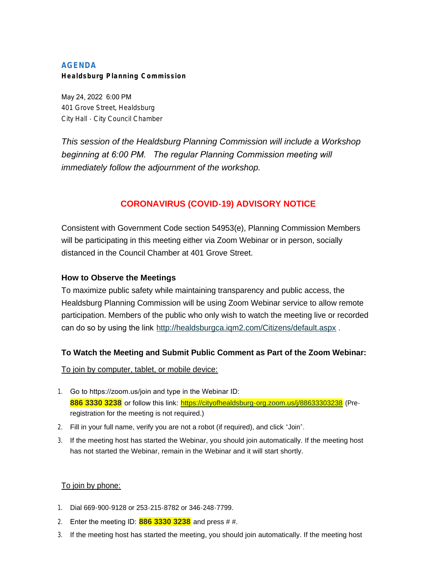# **AGENDA Healdsburg Planning Commission**

May 24, 2022 6:00 PM 401 Grove Street, Healdsburg City Hall - City Council Chamber

*This session of the Healdsburg Planning Commission will include a Workshop beginning at 6:00 PM. The regular Planning Commission meeting will immediately follow the adjournment of the workshop.*

# **CORONAVIRUS (COVID-19) ADVISORY NOTICE**

Consistent with Government Code section 54953(e), Planning Commission Members will be participating in this meeting either via Zoom Webinar or in person, socially distanced in the Council Chamber at 401 Grove Street.

# **How to Observe the Meetings**

To maximize public safety while maintaining transparency and public access, the Healdsburg Planning Commission will be using Zoom Webinar service to allow remote participation. Members of the public who only wish to watch the meeting live or recorded can do so by using the link <http://healdsburgca.iqm2.com/Citizens/default.aspx> .

# **To Watch the Meeting and Submit Public Comment as Part of the Zoom Webinar:**

To join by computer, tablet, or mobile device:

- 1. Go to https://zoom.us/join and type in the Webinar ID: 886 3330 3238 or follow this link: <https://cityofhealdsburg-org.zoom.us/j/88633303238> (Preregistration for the meeting is not required.)
- 2. Fill in your full name, verify you are not a robot (if required), and click "Join".
- 3. If the meeting host has started the Webinar, you should join automatically. If the meeting host has not started the Webinar, remain in the Webinar and it will start shortly.

# To join by phone:

- 1. Dial 669-900-9128 or 253-215-8782 or 346-248-7799.
- 2. Enter the meeting ID: **886 3330 3238** and press # #.
- 3. If the meeting host has started the meeting, you should join automatically. If the meeting host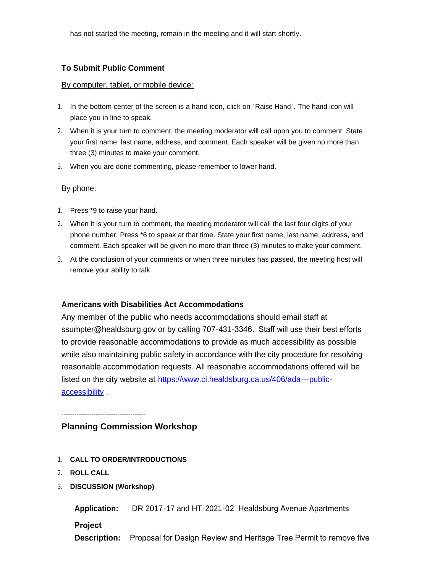has not started the meeting, remain in the meeting and it will start shortly.

### **To Submit Public Comment**

#### By computer, tablet, or mobile device:

- 1. In the bottom center of the screen is a hand icon, click on "Raise Hand". The hand icon will place you in line to speak.
- 2. When it is your turn to comment, the meeting moderator will call upon you to comment. State your first name, last name, address, and comment. Each speaker will be given no more than three (3) minutes to make your comment.
- 3. When you are done commenting, please remember to lower hand.

### By phone:

- 1. Press \*9 to raise your hand.
- 2. When it is your turn to comment, the meeting moderator will call the last four digits of your phone number. Press \*6 to speak at that time. State your first name, last name, address, and comment. Each speaker will be given no more than three (3) minutes to make your comment.
- 3. At the conclusion of your comments or when three minutes has passed, the meeting host will remove your ability to talk.

### **Americans with Disabilities Act Accommodations**

Any member of the public who needs accommodations should email staff at ssumpter@healdsburg.gov or by calling 707-431-3346. Staff will use their best efforts to provide reasonable accommodations to provide as much accessibility as possible while also maintaining public safety in accordance with the city procedure for resolving reasonable accommodation requests. All reasonable accommodations offered will be listed on the city website at https://www.ci.healdsburg.ca.us/406/ada---publicaccessibility .

---------------------------------------

## **Planning Commission Workshop**

- 1. **CALL TO ORDER/INTRODUCTIONS**
- 2. **ROLL CALL**
- 3. **DISCUSSION (Workshop)**

**Application:** DR 2017-17 and HT-2021-02 Healdsburg Avenue Apartments

**Project** 

**Description:** Proposal for Design Review and Heritage Tree Permit to remove five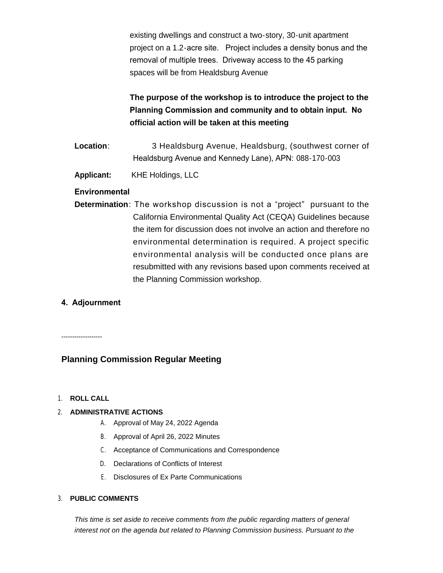existing dwellings and construct a two-story, 30-unit apartment project on a 1.2-acre site. Project includes a density bonus and the removal of multiple trees. Driveway access to the 45 parking spaces will be from Healdsburg Avenue

# **The purpose of the workshop is to introduce the project to the Planning Commission and community and to obtain input. No official action will be taken at this meeting**

- **Location**: 3 Healdsburg Avenue, Healdsburg, (southwest corner of Healdsburg Avenue and Kennedy Lane), APN: 088-170-003
- **Applicant:** KHE Holdings, LLC

### **Environmental**

**Determination**: The workshop discussion is not a "project" pursuant to the California Environmental Quality Act (CEQA) Guidelines because the item for discussion does not involve an action and therefore no environmental determination is required. A project specific environmental analysis will be conducted once plans are resubmitted with any revisions based upon comments received at the Planning Commission workshop.

# **4. Adjournment**

-------------------

## **Planning Commission Regular Meeting**

#### 1. **ROLL CALL**

### 2. **ADMINISTRATIVE ACTIONS**

- A. Approval of May 24, 2022 Agenda
- B. Approval of April 26, 2022 Minutes
- C. Acceptance of Communications and Correspondence
- D. Declarations of Conflicts of Interest
- E. Disclosures of Ex Parte Communications

#### 3. **PUBLIC COMMENTS**

*This time is set aside to receive comments from the public regarding matters of general interest not on the agenda but related to Planning Commission business. Pursuant to the*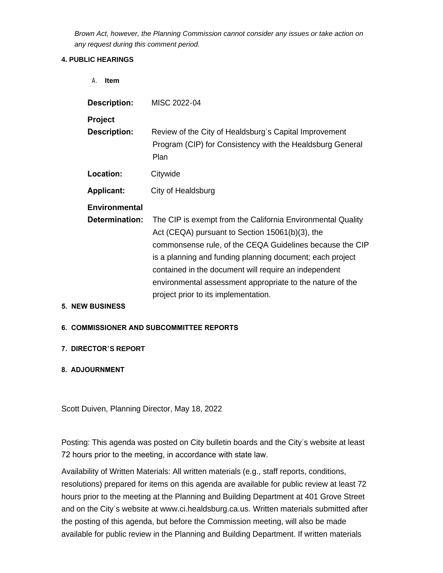*Brown Act, however, the Planning Commission cannot consider any issues or take action on any request during this comment period.*

### **4. PUBLIC HEARINGS**

| <b>Item</b><br>$\mathsf{A}$ . |                                                                                                                                                                                                                                                                                                                                                                                                       |
|-------------------------------|-------------------------------------------------------------------------------------------------------------------------------------------------------------------------------------------------------------------------------------------------------------------------------------------------------------------------------------------------------------------------------------------------------|
| <b>Description:</b>           | MISC 2022-04                                                                                                                                                                                                                                                                                                                                                                                          |
| <b>Project</b>                |                                                                                                                                                                                                                                                                                                                                                                                                       |
| <b>Description:</b>           | Review of the City of Healdsburg's Capital Improvement<br>Program (CIP) for Consistency with the Healdsburg General<br>Plan                                                                                                                                                                                                                                                                           |
| Location:                     | Citywide                                                                                                                                                                                                                                                                                                                                                                                              |
| <b>Applicant:</b>             | City of Healdsburg                                                                                                                                                                                                                                                                                                                                                                                    |
| <b>Environmental</b>          |                                                                                                                                                                                                                                                                                                                                                                                                       |
| Determination:                | The CIP is exempt from the California Environmental Quality<br>Act (CEQA) pursuant to Section 15061(b)(3), the<br>commonsense rule, of the CEQA Guidelines because the CIP<br>is a planning and funding planning document; each project<br>contained in the document will require an independent<br>environmental assessment appropriate to the nature of the<br>project prior to its implementation. |
| <b>5. NEW BUSINESS</b>        |                                                                                                                                                                                                                                                                                                                                                                                                       |

### **6. COMMISSIONER AND SUBCOMMITTEE REPORTS**

## **7. DIRECTOR'S REPORT**

## **8. ADJOURNMENT**

Scott Duiven, Planning Director, May 18, 2022

Posting: This agenda was posted on City bulletin boards and the City's website at least 72 hours prior to the meeting, in accordance with state law.

Availability of Written Materials: All written materials (e.g., staff reports, conditions, resolutions) prepared for items on this agenda are available for public review at least 72 hours prior to the meeting at the Planning and Building Department at 401 Grove Street and on the City's website at www.ci.healdsburg.ca.us. Written materials submitted after the posting of this agenda, but before the Commission meeting, will also be made available for public review in the Planning and Building Department. If written materials